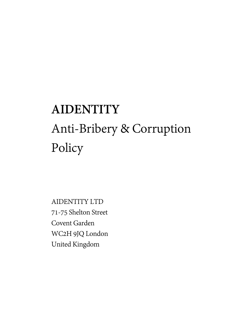# **AIDENTITY** Anti-Bribery & Corruption Policy

AIDENTITY LTD 71-75 Shelton Street Covent Garden WC2H 9JQ London United Kingdom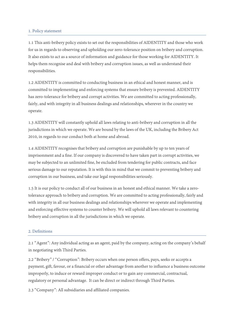### 1. Policy statement

1.1 This anti-bribery policy exists to set out the responsibilities of AIDENTITY and those who work for us in regards to observing and upholding our zero-tolerance position on bribery and corruption. It also exists to act as a source of information and guidance for those working for AIDENTITY. It helps them recognise and deal with bribery and corruption issues, as well as understand their responsibilities.

1.2 AIDENTITY is committed to conducting business in an ethical and honest manner, and is committed to implementing and enforcing systems that ensure bribery is prevented. AIDENTITY has zero-tolerance for bribery and corrupt activities. We are committed to acting professionally, fairly, and with integrity in all business dealings and relationships, wherever in the country we operate.

1.3 AIDENTITY will constantly uphold all laws relating to anti-bribery and corruption in all the jurisdictions in which we operate. We are bound by the laws of the UK, including the Bribery Act 2010, in regards to our conduct both at home and abroad.

1.4 AIDENTITY recognises that bribery and corruption are punishable by up to ten years of imprisonment and a fine. If our company is discovered to have taken part in corrupt activities, we may be subjected to an unlimited fine, be excluded from tendering for public contracts, and face serious damage to our reputation. It is with this in mind that we commit to preventing bribery and corruption in our business, and take our legal responsibilities seriously.

1.5 It is our policy to conduct all of our business in an honest and ethical manner. We take a zerotolerance approach to bribery and corruption. We are committed to acting professionally, fairly and with integrity in all our business dealings and relationships wherever we operate and implementing and enforcing effective systems to counter bribery. We will uphold all laws relevant to countering bribery and corruption in all the jurisdictions in which we operate.

### 2. Definitions

2.1 "Agent": Any individual acting as an agent, paid by the company, acting on the company's behalf in negotiating with Third Parties.

2.2 "Bribery" / "Corruption": Bribery occurs when one person offers, pays, seeks or accepts a payment, gift, favour, or a financial or other advantage from another to influence a business outcome improperly, to induce or reward improper conduct or to gain any commercial, contractual, regulatory or personal advantage. It can be direct or indirect through Third Parties.

2.3 "Company": All subsidiaries and affiliated companies.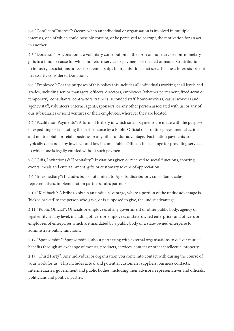2.4 "Conflict of Interest": Occurs when an individual or organisation is involved in multiple interests, one of which could possibly corrupt, or be perceived to corrupt, the motivation for an act in another.

2.5 "Donation": A Donation is a voluntary contribution in the form of monetary or non-monetary gifts to a fund or cause for which no return service or payment is expected or made. Contributions to industry associations or fees for memberships in organisations that serve business interests are not necessarily considered Donations.

2.6 "Employee": For the purposes of this policy this includes all individuals working at all levels and grades, including senior managers, officers, directors, employees (whether permanent, fixed-term or temporary), consultants, contractors, trainees, seconded staff, home-workers, casual workers and agency staff, volunteers, interns, agents, sponsors, or any other person associated with us, or any of our subsidiaries or joint ventures or their employees, wherever they are located.

2.7 "Facilitation Payments": A form of Bribery in which small payments are made with the purpose of expediting or facilitating the performance by a Public Official of a routine governmental action and not to obtain or retain business or any other undue advantage. Facilitation payments are typically demanded by low level and low income Public Officials in exchange for providing services to which one is legally entitled without such payments.

2.8 "Gifts, Invitations & Hospitality": Invitations given or received to social functions, sporting events, meals and entertainment, gifts or customary tokens of appreciation.

2.9 "Intermediary": Includes but is not limited to Agents, distributors, consultants, sales representatives, implementation partners, sales partners.

2.10 "Kickback": A bribe to obtain an undue advantage, where a portion of the undue advantage is 'kicked backed' to the person who gave, or is supposed to give, the undue advantage.

2.11 "Public Official": Officials or employees of any government or other public body, agency or legal entity, at any level, including officers or employees of state-owned enterprises and officers or employees of enterprises which are mandated by a public body or a state-owned enterprise to administrate public functions.

2.12 "Sponsorship": Sponsorship is about partnering with external organisations to deliver mutual benefits through an exchange of monies, products, services, content or other intellectual property.

2.13 "Third Party": Any individual or organisation you come into contact with during the course of your work for us. This includes actual and potential customers, suppliers, business contacts, Intermediaries, government and public bodies, including their advisors, representatives and officials, politicians and political parties.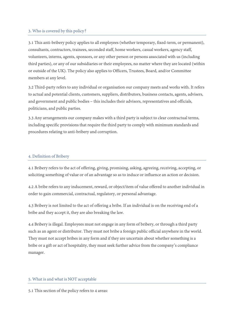## 3. Who is covered by this policy?

3.1 This anti-bribery policy applies to all employees (whether temporary, fixed-term, or permanent), consultants, contractors, trainees, seconded staff, home workers, casual workers, agency staff, volunteers, interns, agents, sponsors, or any other person or persons associated with us (including third parties), or any of our subsidiaries or their employees, no matter where they are located (within or outside of the UK). The policy also applies to Officers, Trustees, Board, and/or Committee members at any level.

3.2 Third-party refers to any individual or organisation our company meets and works with. It refers to actual and potential clients, customers, suppliers, distributors, business contacts, agents, advisers, and government and public bodies – this includes their advisors, representatives and officials, politicians, and public parties.

3.3 Any arrangements our company makes with a third party is subject to clear contractual terms, including specific provisions that require the third party to comply with minimum standards and procedures relating to anti-bribery and corruption.

## 4. Definition of Bribery

4.1 Bribery refers to the act of offering, giving, promising, asking, agreeing, receiving, accepting, or soliciting something of value or of an advantage so as to induce or influence an action or decision.

4.2 A bribe refers to any inducement, reward, or object/item of value offered to another individual in order to gain commercial, contractual, regulatory, or personal advantage.

4.3 Bribery is not limited to the act of offering a bribe. If an individual is on the receiving end of a bribe and they accept it, they are also breaking the law.

4.4 Bribery is illegal. Employees must not engage in any form of bribery, or through a third party such as an agent or distributor. They must not bribe a foreign public official anywhere in the world. They must not accept bribes in any form and if they are uncertain about whether something is a bribe or a gift or act of hospitality, they must seek further advice from the company's compliance manager.

### 5. What is and what is NOT acceptable

5.1 This section of the policy refers to 4 areas: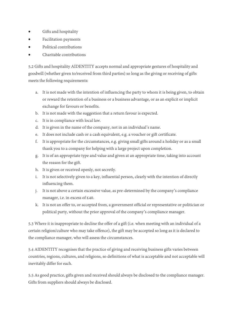- Gifts and hospitality
- Facilitation payments
- Political contributions
- Charitable contributions

5.2 Gifts and hospitality AIDENTITY accepts normal and appropriate gestures of hospitality and goodwill (whether given to/received from third parties) so long as the giving or receiving of gifts meets the following requirements:

- a. It is not made with the intention of influencing the party to whom it is being given, to obtain or reward the retention of a business or a business advantage, or as an explicit or implicit exchange for favours or benefits.
- b. It is not made with the suggestion that a return favour is expected.
- c. It is in compliance with local law.
- d. It is given in the name of the company, not in an individual's name.
- e. It does not include cash or a cash equivalent, e.g. a voucher or gift certificate.
- f. It is appropriate for the circumstances, e.g. giving small gifts around a holiday or as a small thank you to a company for helping with a large project upon completion.
- g. It is of an appropriate type and value and given at an appropriate time, taking into account the reason for the gift.
- h. It is given or received openly, not secretly.
- i. It is not selectively given to a key, influential person, clearly with the intention of directly influencing them.
- j. It is not above a certain excessive value, as pre-determined by the company's compliance manager, i.e. in excess of £40.
- k. It is not an offer to, or accepted from, a government official or representative or politician or political party, without the prior approval of the company's compliance manager.

5.3 Where it is inappropriate to decline the offer of a gift (i.e. when meeting with an individual of a certain religion/culture who may take offence), the gift may be accepted so long as it is declared to the compliance manager, who will assess the circumstances.

5.4 AIDENTITY recognises that the practice of giving and receiving business gifts varies between countries, regions, cultures, and religions, so definitions of what is acceptable and not acceptable will inevitably differ for each.

5.5 As good practice, gifts given and received should always be disclosed to the compliance manager. Gifts from suppliers should always be disclosed.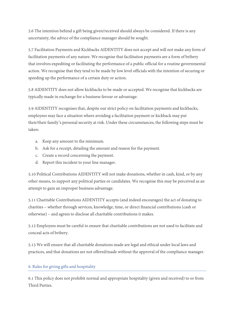5.6 The intention behind a gift being given/received should always be considered. If there is any uncertainty, the advice of the compliance manager should be sought.

5.7 Facilitation Payments and Kickbacks AIDENTITY does not accept and will not make any form of facilitation payments of any nature. We recognise that facilitation payments are a form of bribery that involves expediting or facilitating the performance of a public official for a routine governmental action. We recognise that they tend to be made by low level officials with the intention of securing or speeding up the performance of a certain duty or action.

5.8 AIDENTITY does not allow kickbacks to be made or accepted. We recognise that kickbacks are typically made in exchange for a business favour or advantage.

5.9 AIDENTITY recognises that, despite our strict policy on facilitation payments and kickbacks, employees may face a situation where avoiding a facilitation payment or kickback may put their/their family's personal security at risk. Under these circumstances, the following steps must be taken:

- a. Keep any amount to the minimum.
- b. Ask for a receipt, detailing the amount and reason for the payment.
- c. Create a record concerning the payment.
- d. Report this incident to your line manager.

5.10 Political Contributions AIDENTITY will not make donations, whether in cash, kind, or by any other means, to support any political parties or candidates. We recognise this may be perceived as an attempt to gain an improper business advantage.

5.11 Charitable Contributions AIDENTITY accepts (and indeed encourages) the act of donating to charities – whether through services, knowledge, time, or direct financial contributions (cash or otherwise) – and agrees to disclose all charitable contributions it makes.

5.12 Employees must be careful to ensure that charitable contributions are not used to facilitate and conceal acts of bribery.

5.13 We will ensure that all charitable donations made are legal and ethical under local laws and practices, and that donations are not offered/made without the approval of the compliance manager.

# 6. Rules for giving gifts and hospitality

6.1 This policy does not prohibit normal and appropriate hospitality (given and received) to or from Third Parties.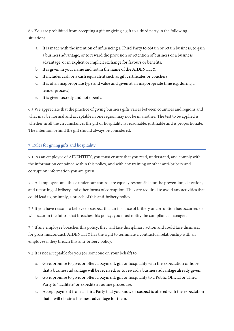6.2 You are prohibited from accepting a gift or giving a gift to a third party in the following situations:

- a. It is made with the intention of influencing a Third Party to obtain or retain business, to gain a business advantage, or to reward the provision or retention of business or a business advantage, or in explicit or implicit exchange for favours or benefits.
- b. It is given in your name and not in the name of the AIDENTITY.
- c. It includes cash or a cash equivalent such as gift certificates or vouchers.
- d. It is of an inappropriate type and value and given at an inappropriate time e.g. during a tender process).
- e. It is given secretly and not openly.

6.3 We appreciate that the practice of giving business gifts varies between countries and regions and what may be normal and acceptable in one region may not be in another. The test to be applied is whether in all the circumstances the gift or hospitality is reasonable, justifiable and is proportionate. The intention behind the gift should always be considered.

# 7. Rules for giving gifts and hospitality

7.1 As an employee of AIDENTITY, you must ensure that you read, understand, and comply with the information contained within this policy, and with any training or other anti-bribery and corruption information you are given.

7.2 All employees and those under our control are equally responsible for the prevention, detection, and reporting of bribery and other forms of corruption. They are required to avoid any activities that could lead to, or imply, a breach of this anti-bribery policy.

7.3 If you have reason to believe or suspect that an instance of bribery or corruption has occurred or will occur in the future that breaches this policy, you must notify the compliance manager.

7.4 If any employee breaches this policy, they will face disciplinary action and could face dismissal for gross misconduct. AIDENTITY has the right to terminate a contractual relationship with an employee if they breach this anti-bribery policy.

7.5 It is not acceptable for you (or someone on your behalf) to:

- a. Give, promise to give, or offer, a payment, gift or hospitality with the expectation or hope that a business advantage will be received, or to reward a business advantage already given.
- b. Give, promise to give, or offer, a payment, gift or hospitality to a Public Official or Third Party to 'facilitate' or expedite a routine procedure.
- c. Accept payment from a Third Party that you know or suspect is offered with the expectation that it will obtain a business advantage for them.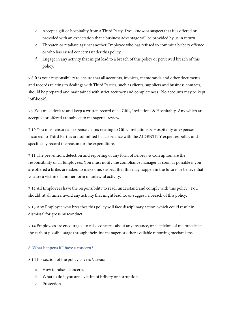- d. Accept a gift or hospitality from a Third Party if you know or suspect that it is offered or provided with an expectation that a business advantage will be provided by us in return.
- e. Threaten or retaliate against another Employee who has refused to commit a bribery offence or who has raised concerns under this policy.
- f. Engage in any activity that might lead to a breach of this policy or perceived breach of this policy.

7.8 It is your responsibility to ensure that all accounts, invoices, memoranda and other documents and records relating to dealings with Third Parties, such as clients, suppliers and business contacts, should be prepared and maintained with strict accuracy and completeness. No accounts may be kept 'off-book'.

7.9 You must declare and keep a written record of all Gifts, Invitations & Hospitality. Any which are accepted or offered are subject to managerial review.

7.10 You must ensure all expense claims relating to Gifts, Invitations & Hospitality or expenses incurred to Third Parties are submitted in accordance with the AIDENTITY expenses policy and specifically record the reason for the expenditure.

7.11 The prevention, detection and reporting of any form of Bribery & Corruption are the responsibility of all Employees. You must notify the compliance manager as soon as possible if you are offered a bribe, are asked to make one, suspect that this may happen in the future, or believe that you are a victim of another form of unlawful activity.

7.12 All Employees have the responsibility to read, understand and comply with this policy. You should, at all times, avoid any activity that might lead to, or suggest, a breach of this policy.

7.13 Any Employee who breaches this policy will face disciplinary action, which could result in dismissal for gross misconduct.

7.14 Employees are encouraged to raise concerns about any instance, or suspicion, of malpractice at the earliest possible stage through their line manager or other available reporting mechanisms.

# 8. What happens if I have a concern?

8.1 This section of the policy covers 3 areas:

- a. How to raise a concern.
- b. What to do if you are a victim of bribery or corruption.
- c. Protection.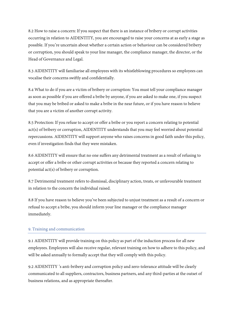8.2 How to raise a concern: If you suspect that there is an instance of bribery or corrupt activities occurring in relation to AIDENTITY, you are encouraged to raise your concerns at as early a stage as possible. If you're uncertain about whether a certain action or behaviour can be considered bribery or corruption, you should speak to your line manager, the compliance manager, the director, or the Head of Governance and Legal.

8.3 AIDENTITY will familiarise all employees with its whistleblowing procedures so employees can vocalise their concerns swiftly and confidentially.

8.4 What to do if you are a victim of bribery or corruption: You must tell your compliance manager as soon as possible if you are offered a bribe by anyone, if you are asked to make one, if you suspect that you may be bribed or asked to make a bribe in the near future, or if you have reason to believe that you are a victim of another corrupt activity.

8.5 Protection: If you refuse to accept or offer a bribe or you report a concern relating to potential act(s) of bribery or corruption, AIDENTITY understands that you may feel worried about potential repercussions. AIDENTITY will support anyone who raises concerns in good faith under this policy, even if investigation finds that they were mistaken.

8.6 AIDENTITY will ensure that no one suffers any detrimental treatment as a result of refusing to accept or offer a bribe or other corrupt activities or because they reported a concern relating to potential act(s) of bribery or corruption.

8.7 Detrimental treatment refers to dismissal, disciplinary action, treats, or unfavourable treatment in relation to the concern the individual raised.

8.8 If you have reason to believe you've been subjected to unjust treatment as a result of a concern or refusal to accept a bribe, you should inform your line manager or the compliance manager immediately.

# 9. Training and communication

9.1 AIDENTITY will provide training on this policy as part of the induction process for all new employees. Employees will also receive regular, relevant training on how to adhere to this policy, and will be asked annually to formally accept that they will comply with this policy.

9.2 AIDENTITY 's anti-bribery and corruption policy and zero-tolerance attitude will be clearly communicated to all suppliers, contractors, business partners, and any third-parties at the outset of business relations, and as appropriate thereafter.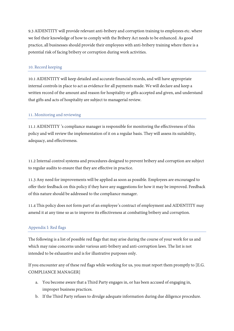9.3 AIDENTITY will provide relevant anti-bribery and corruption training to employees etc. where we feel their knowledge of how to comply with the Bribery Act needs to be enhanced. As good practice, all businesses should provide their employees with anti-bribery training where there is a potential risk of facing bribery or corruption during work activities.

## 10. Record keeping

10.1 AIDENTITY will keep detailed and accurate financial records, and will have appropriate internal controls in place to act as evidence for all payments made. We will declare and keep a written record of the amount and reason for hospitality or gifts accepted and given, and understand that gifts and acts of hospitality are subject to managerial review.

## 11. Monitoring and reviewing

11.1 AIDENTITY 's compliance manager is responsible for monitoring the effectiveness of this policy and will review the implementation of it on a regular basis. They will assess its suitability, adequacy, and effectiveness.

11.2 Internal control systems and procedures designed to prevent bribery and corruption are subject to regular audits to ensure that they are effective in practice.

11.3 Any need for improvements will be applied as soon as possible. Employees are encouraged to offer their feedback on this policy if they have any suggestions for how it may be improved. Feedback of this nature should be addressed to the compliance manager.

11.4 This policy does not form part of an employee's contract of employment and AIDENTITY may amend it at any time so as to improve its effectiveness at combatting bribery and corruption.

# Appendix I: Red flags

The following is a list of possible red flags that may arise during the course of your work for us and which may raise concerns under various anti-bribery and anti-corruption laws. The list is not intended to be exhaustive and is for illustrative purposes only.

If you encounter any of these red flags while working for us, you must report them promptly to [E.G. COMPLIANCE MANAGER]

- a. You become aware that a Third Party engages in, or has been accused of engaging in, improper business practices.
- b. If the Third Party refuses to divulge adequate information during due diligence procedure.